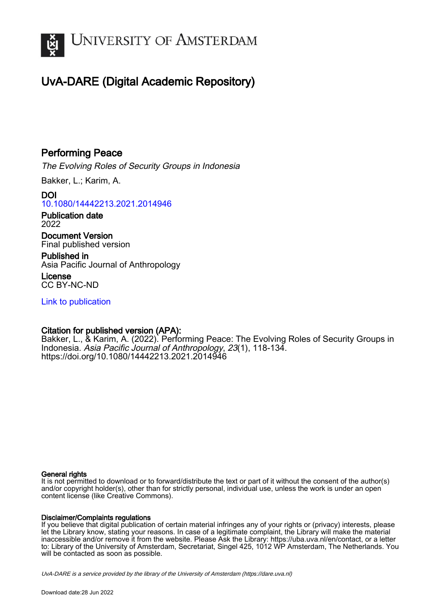

## UvA-DARE (Digital Academic Repository)

## Performing Peace

The Evolving Roles of Security Groups in Indonesia

Bakker, L.; Karim, A.

DOI [10.1080/14442213.2021.2014946](https://doi.org/10.1080/14442213.2021.2014946)

Publication date 2022

Document Version Final published version

Published in Asia Pacific Journal of Anthropology

License CC BY-NC-ND

[Link to publication](https://dare.uva.nl/personal/pure/en/publications/performing-peace(85ed4352-6ac2-4e4b-954e-984c99503a51).html)

### Citation for published version (APA):

Bakker, L., & Karim, A. (2022). Performing Peace: The Evolving Roles of Security Groups in Indonesia. Asia Pacific Journal of Anthropology, 23(1), 118-134. <https://doi.org/10.1080/14442213.2021.2014946>

#### General rights

It is not permitted to download or to forward/distribute the text or part of it without the consent of the author(s) and/or copyright holder(s), other than for strictly personal, individual use, unless the work is under an open content license (like Creative Commons).

#### Disclaimer/Complaints regulations

If you believe that digital publication of certain material infringes any of your rights or (privacy) interests, please let the Library know, stating your reasons. In case of a legitimate complaint, the Library will make the material inaccessible and/or remove it from the website. Please Ask the Library: https://uba.uva.nl/en/contact, or a letter to: Library of the University of Amsterdam, Secretariat, Singel 425, 1012 WP Amsterdam, The Netherlands. You will be contacted as soon as possible.

UvA-DARE is a service provided by the library of the University of Amsterdam (http*s*://dare.uva.nl)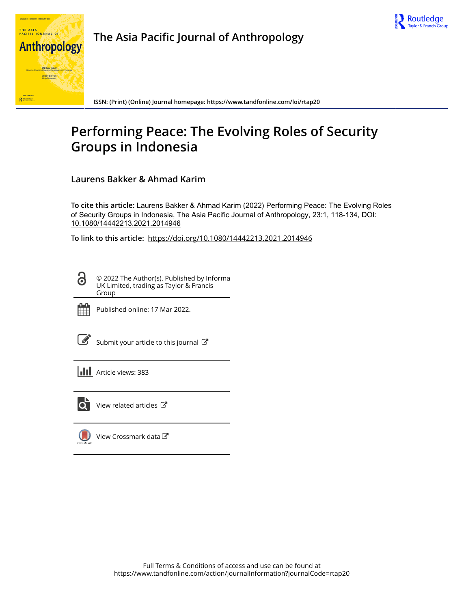



**The Asia Pacific Journal of Anthropology**

**ISSN: (Print) (Online) Journal homepage:<https://www.tandfonline.com/loi/rtap20>**

# **Performing Peace: The Evolving Roles of Security Groups in Indonesia**

**Laurens Bakker & Ahmad Karim**

**To cite this article:** Laurens Bakker & Ahmad Karim (2022) Performing Peace: The Evolving Roles of Security Groups in Indonesia, The Asia Pacific Journal of Anthropology, 23:1, 118-134, DOI: [10.1080/14442213.2021.2014946](https://www.tandfonline.com/action/showCitFormats?doi=10.1080/14442213.2021.2014946)

**To link to this article:** <https://doi.org/10.1080/14442213.2021.2014946>

© 2022 The Author(s). Published by Informa UK Limited, trading as Taylor & Francis Group



ര

Published online: 17 Mar 2022.

[Submit your article to this journal](https://www.tandfonline.com/action/authorSubmission?journalCode=rtap20&show=instructions)  $\mathbb{Z}$ 

**Article views: 383** 



 $\overline{Q}$  [View related articles](https://www.tandfonline.com/doi/mlt/10.1080/14442213.2021.2014946)  $\overline{C}$ 

 $\bigcup$ [View Crossmark data](http://crossmark.crossref.org/dialog/?doi=10.1080/14442213.2021.2014946&domain=pdf&date_stamp=2022-03-17) $\mathbb{Z}$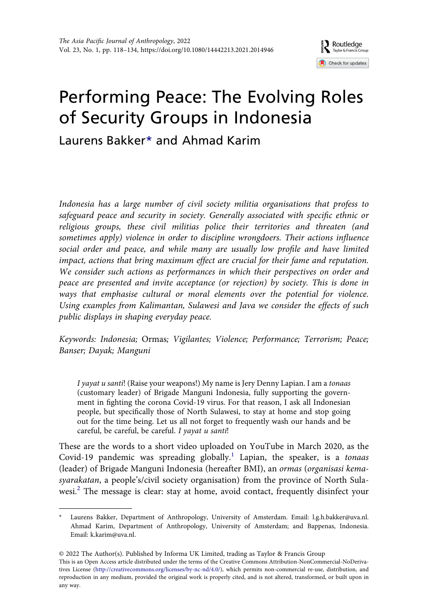

# Performing Peace: The Evolving Roles of Security Groups in Indonesia

Laurens Bakker[\\*](#page-2-0) and Ahmad Karim

Indonesia has a large number of civil society militia organisations that profess to safeguard peace and security in society. Generally associated with specific ethnic or religious groups, these civil militias police their territories and threaten (and sometimes apply) violence in order to discipline wrongdoers. Their actions influence social order and peace, and while many are usually low profile and have limited impact, actions that bring maximum effect are crucial for their fame and reputation. We consider such actions as performances in which their perspectives on order and peace are presented and invite acceptance (or rejection) by society. This is done in ways that emphasise cultural or moral elements over the potential for violence. Using examples from Kalimantan, Sulawesi and Java we consider the effects of such public displays in shaping everyday peace.

Keywords: Indonesia; Ormas; Vigilantes; Violence; Performance; Terrorism; Peace; Banser; Dayak; Manguni

I yayat u santi! (Raise your weapons!) My name is Jery Denny Lapian. I am a tonaas (customary leader) of Brigade Manguni Indonesia, fully supporting the government in fighting the corona Covid-19 virus. For that reason, I ask all Indonesian people, but specifically those of North Sulawesi, to stay at home and stop going out for the time being. Let us all not forget to frequently wash our hands and be careful, be careful, be careful. I yayat u santi!

These are the words to a short video uploaded on YouTube in March 2020, as the Covid-19 pandemic was spreading globally.<sup>1</sup> Lapian, the speaker, is a tonaas (leader) of Brigade Manguni Indonesia (hereafter BMI), an ormas (organisasi kemasyarakatan, a people's/civil society organisation) from the province of North Sula-wesi.<sup>[2](#page-15-1)</sup> The message is clear: stay at home, avoid contact, frequently disinfect your

<span id="page-2-0"></span><sup>\*</sup> Laurens Bakker, Department of Anthropology, University of Amsterdam. Email: [l.g.h.bakker@uva.nl](mailto:l.g.h.bakker@uva.nl). Ahmad Karim, Department of Anthropology, University of Amsterdam; and Bappenas, Indonesia. Email: [k.karim@uva.nl.](mailto:k.karim@uva.nl)

<sup>© 2022</sup> The Author(s). Published by Informa UK Limited, trading as Taylor & Francis Group This is an Open Access article distributed under the terms of the Creative Commons Attribution-NonCommercial-NoDerivatives License ([http://creativecommons.org/licenses/by-nc-nd/4.0/\)](http://creativecommons.org/licenses/by-nc-nd/4.0/), which permits non-commercial re-use, distribution, and reproduction in any medium, provided the original work is properly cited, and is not altered, transformed, or built upon in any way.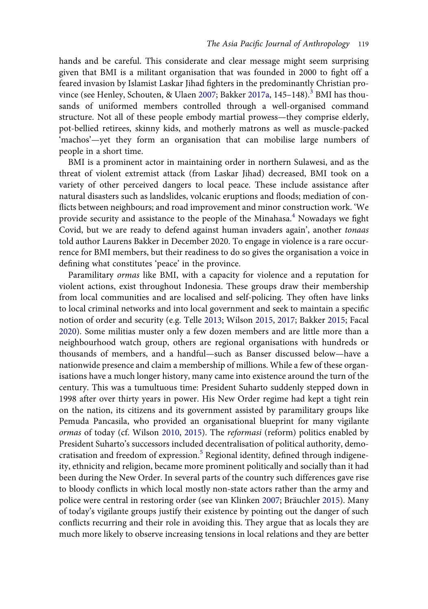<span id="page-3-1"></span>hands and be careful. This considerate and clear message might seem surprising given that BMI is a militant organisation that was founded in 2000 to fight off a feared invasion by Islamist Laskar Jihad fighters in the predominantly Christian pro-vince (see Henley, Schouten, & Ulaen [2007;](#page-17-0) Bakker [2017a,](#page-16-0) 145–148).<sup>[3](#page-15-2)</sup> BMI has thousands of uniformed members controlled through a well-organised command structure. Not all of these people embody martial prowess—they comprise elderly, pot-bellied retirees, skinny kids, and motherly matrons as well as muscle-packed 'machos'—yet they form an organisation that can mobilise large numbers of people in a short time.

BMI is a prominent actor in maintaining order in northern Sulawesi, and as the threat of violent extremist attack (from Laskar Jihad) decreased, BMI took on a variety of other perceived dangers to local peace. These include assistance after natural disasters such as landslides, volcanic eruptions and floods; mediation of conflicts between neighbours; and road improvement and minor construction work. 'We provide security and assistance to the people of the Minahasa.<sup>4</sup> Nowadays we fight Covid, but we are ready to defend against human invaders again', another tonaas told author Laurens Bakker in December 2020. To engage in violence is a rare occurrence for BMI members, but their readiness to do so gives the organisation a voice in defining what constitutes 'peace' in the province.

<span id="page-3-3"></span><span id="page-3-2"></span><span id="page-3-0"></span>Paramilitary ormas like BMI, with a capacity for violence and a reputation for violent actions, exist throughout Indonesia. These groups draw their membership from local communities and are localised and self-policing. They often have links to local criminal networks and into local government and seek to maintain a specific notion of order and security (e.g. Telle [2013;](#page-18-0) Wilson [2015,](#page-18-1) [2017](#page-18-2); Bakker [2015](#page-16-1); Facal [2020](#page-17-1)). Some militias muster only a few dozen members and are little more than a neighbourhood watch group, others are regional organisations with hundreds or thousands of members, and a handful—such as Banser discussed below—have a nationwide presence and claim a membership of millions. While a few of these organisations have a much longer history, many came into existence around the turn of the century. This was a tumultuous time: President Suharto suddenly stepped down in 1998 after over thirty years in power. His New Order regime had kept a tight rein on the nation, its citizens and its government assisted by paramilitary groups like Pemuda Pancasila, who provided an organisational blueprint for many vigilante ormas of today (cf. Wilson [2010,](#page-18-3) [2015\)](#page-18-1). The reformasi (reform) politics enabled by President Suharto's successors included decentralisation of political authority, demo-cratisation and freedom of expression.<sup>[5](#page-15-4)</sup> Regional identity, defined through indigeneity, ethnicity and religion, became more prominent politically and socially than it had been during the New Order. In several parts of the country such differences gave rise to bloody conflicts in which local mostly non-state actors rather than the army and police were central in restoring order (see van Klinken [2007](#page-18-4); Bräuchler [2015\)](#page-16-2). Many of today's vigilante groups justify their existence by pointing out the danger of such conflicts recurring and their role in avoiding this. They argue that as locals they are much more likely to observe increasing tensions in local relations and they are better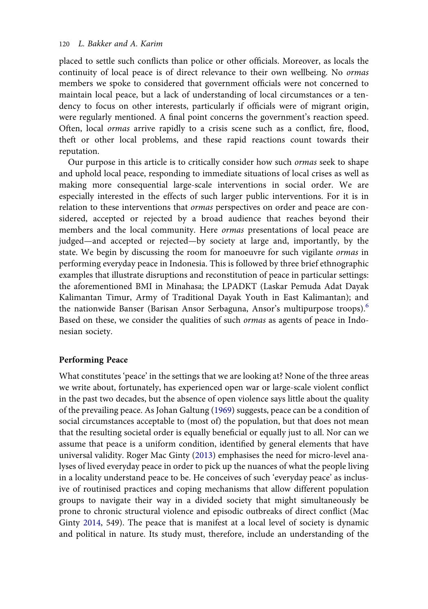placed to settle such conflicts than police or other officials. Moreover, as locals the continuity of local peace is of direct relevance to their own wellbeing. No ormas members we spoke to considered that government officials were not concerned to maintain local peace, but a lack of understanding of local circumstances or a tendency to focus on other interests, particularly if officials were of migrant origin, were regularly mentioned. A final point concerns the government's reaction speed. Often, local ormas arrive rapidly to a crisis scene such as a conflict, fire, flood, theft or other local problems, and these rapid reactions count towards their reputation.

Our purpose in this article is to critically consider how such ormas seek to shape and uphold local peace, responding to immediate situations of local crises as well as making more consequential large-scale interventions in social order. We are especially interested in the effects of such larger public interventions. For it is in relation to these interventions that ormas perspectives on order and peace are considered, accepted or rejected by a broad audience that reaches beyond their members and the local community. Here ormas presentations of local peace are judged—and accepted or rejected—by society at large and, importantly, by the state. We begin by discussing the room for manoeuvre for such vigilante ormas in performing everyday peace in Indonesia. This is followed by three brief ethnographic examples that illustrate disruptions and reconstitution of peace in particular settings: the aforementioned BMI in Minahasa; the LPADKT (Laskar Pemuda Adat Dayak Kalimantan Timur, Army of Traditional Dayak Youth in East Kalimantan); and the nationwide Banser (Barisan Ansor Serbaguna, Ansor's multipurpose troops).<sup>[6](#page-15-5)</sup> Based on these, we consider the qualities of such ormas as agents of peace in Indonesian society.

#### Performing Peace

<span id="page-4-2"></span><span id="page-4-1"></span><span id="page-4-0"></span>What constitutes 'peace' in the settings that we are looking at? None of the three areas we write about, fortunately, has experienced open war or large-scale violent conflict in the past two decades, but the absence of open violence says little about the quality of the prevailing peace. As Johan Galtung ([1969](#page-17-2)) suggests, peace can be a condition of social circumstances acceptable to (most of) the population, but that does not mean that the resulting societal order is equally beneficial or equally just to all. Nor can we assume that peace is a uniform condition, identified by general elements that have universal validity. Roger Mac Ginty [\(2013](#page-17-3)) emphasises the need for micro-level analyses of lived everyday peace in order to pick up the nuances of what the people living in a locality understand peace to be. He conceives of such 'everyday peace' as inclusive of routinised practices and coping mechanisms that allow different population groups to navigate their way in a divided society that might simultaneously be prone to chronic structural violence and episodic outbreaks of direct conflict (Mac Ginty [2014](#page-17-4), 549). The peace that is manifest at a local level of society is dynamic and political in nature. Its study must, therefore, include an understanding of the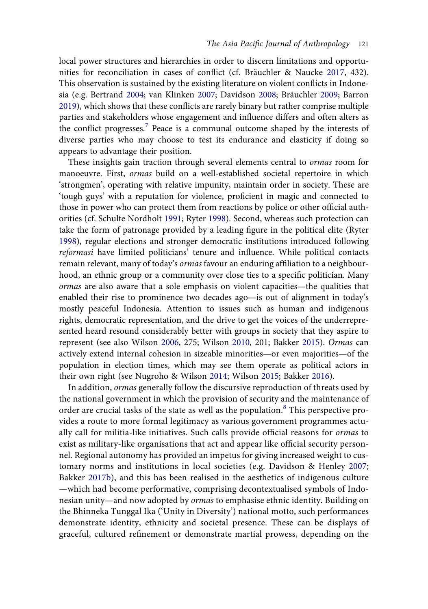<span id="page-5-3"></span><span id="page-5-2"></span>local power structures and hierarchies in order to discern limitations and opportunities for reconciliation in cases of conflict (cf. Bräuchler & Naucke [2017](#page-16-3), 432). This observation is sustained by the existing literature on violent conflicts in Indonesia (e.g. Bertrand [2004;](#page-16-4) van Klinken [2007](#page-18-4); Davidson [2008](#page-17-5); Bräuchler [2009](#page-16-5); Barron [2019](#page-16-6)), which shows that these conflicts are rarely binary but rather comprise multiple parties and stakeholders whose engagement and influence differs and often alters as the conflict progresses.<sup>[7](#page-15-6)</sup> Peace is a communal outcome shaped by the interests of diverse parties who may choose to test its endurance and elasticity if doing so appears to advantage their position.

<span id="page-5-6"></span><span id="page-5-5"></span>These insights gain traction through several elements central to ormas room for manoeuvre. First, ormas build on a well-established societal repertoire in which 'strongmen', operating with relative impunity, maintain order in society. These are 'tough guys' with a reputation for violence, proficient in magic and connected to those in power who can protect them from reactions by police or other official authorities (cf. Schulte Nordholt [1991](#page-18-5); Ryter [1998](#page-18-6)). Second, whereas such protection can take the form of patronage provided by a leading figure in the political elite (Ryter [1998](#page-18-6)), regular elections and stronger democratic institutions introduced following reformasi have limited politicians' tenure and influence. While political contacts remain relevant, many of today's *ormas* favour an enduring affiliation to a neighbourhood, an ethnic group or a community over close ties to a specific politician. Many ormas are also aware that a sole emphasis on violent capacities—the qualities that enabled their rise to prominence two decades ago—is out of alignment in today's mostly peaceful Indonesia. Attention to issues such as human and indigenous rights, democratic representation, and the drive to get the voices of the underrepresented heard resound considerably better with groups in society that they aspire to represent (see also Wilson [2006](#page-18-7), 275; Wilson [2010,](#page-18-3) 201; Bakker [2015\)](#page-16-1). Ormas can actively extend internal cohesion in sizeable minorities—or even majorities—of the population in election times, which may see them operate as political actors in their own right (see Nugroho & Wilson [2014;](#page-17-6) Wilson [2015](#page-18-1); Bakker [2016\)](#page-16-7).

<span id="page-5-7"></span><span id="page-5-4"></span><span id="page-5-1"></span><span id="page-5-0"></span>In addition, ormas generally follow the discursive reproduction of threats used by the national government in which the provision of security and the maintenance of order are crucial tasks of the state as well as the population.<sup>[8](#page-15-7)</sup> This perspective provides a route to more formal legitimacy as various government programmes actually call for militia-like initiatives. Such calls provide official reasons for ormas to exist as military-like organisations that act and appear like official security personnel. Regional autonomy has provided an impetus for giving increased weight to customary norms and institutions in local societies (e.g. Davidson & Henley [2007;](#page-17-7) Bakker [2017b\)](#page-16-8), and this has been realised in the aesthetics of indigenous culture —which had become performative, comprising decontextualised symbols of Indonesian unity—and now adopted by ormas to emphasise ethnic identity. Building on the Bhinneka Tunggal Ika ('Unity in Diversity') national motto, such performances demonstrate identity, ethnicity and societal presence. These can be displays of graceful, cultured refinement or demonstrate martial prowess, depending on the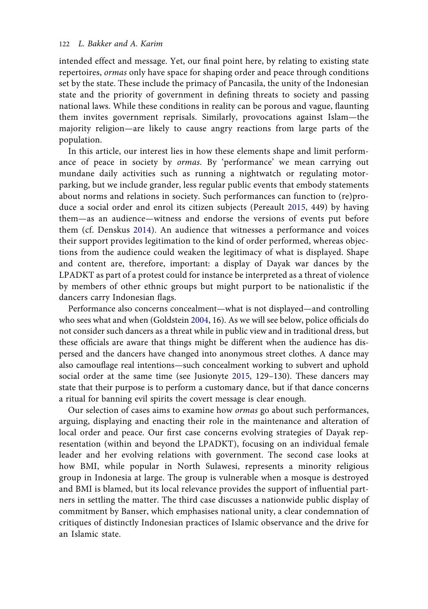intended effect and message. Yet, our final point here, by relating to existing state repertoires, ormas only have space for shaping order and peace through conditions set by the state. These include the primacy of Pancasila, the unity of the Indonesian state and the priority of government in defining threats to society and passing national laws. While these conditions in reality can be porous and vague, flaunting them invites government reprisals. Similarly, provocations against Islam—the majority religion—are likely to cause angry reactions from large parts of the population.

<span id="page-6-3"></span><span id="page-6-0"></span>In this article, our interest lies in how these elements shape and limit performance of peace in society by ormas. By 'performance' we mean carrying out mundane daily activities such as running a nightwatch or regulating motorparking, but we include grander, less regular public events that embody statements about norms and relations in society. Such performances can function to (re)produce a social order and enrol its citizen subjects (Pereault [2015](#page-17-8), 449) by having them—as an audience—witness and endorse the versions of events put before them (cf. Denskus [2014](#page-17-9)). An audience that witnesses a performance and voices their support provides legitimation to the kind of order performed, whereas objections from the audience could weaken the legitimacy of what is displayed. Shape and content are, therefore, important: a display of Dayak war dances by the LPADKT as part of a protest could for instance be interpreted as a threat of violence by members of other ethnic groups but might purport to be nationalistic if the dancers carry Indonesian flags.

<span id="page-6-1"></span>Performance also concerns concealment—what is not displayed—and controlling who sees what and when (Goldstein [2004](#page-17-10), 16). As we will see below, police officials do not consider such dancers as a threat while in public view and in traditional dress, but these officials are aware that things might be different when the audience has dispersed and the dancers have changed into anonymous street clothes. A dance may also camouflage real intentions—such concealment working to subvert and uphold social order at the same time (see Jusionyte [2015,](#page-17-11) 129–130). These dancers may state that their purpose is to perform a customary dance, but if that dance concerns a ritual for banning evil spirits the covert message is clear enough.

<span id="page-6-2"></span>Our selection of cases aims to examine how ormas go about such performances, arguing, displaying and enacting their role in the maintenance and alteration of local order and peace. Our first case concerns evolving strategies of Dayak representation (within and beyond the LPADKT), focusing on an individual female leader and her evolving relations with government. The second case looks at how BMI, while popular in North Sulawesi, represents a minority religious group in Indonesia at large. The group is vulnerable when a mosque is destroyed and BMI is blamed, but its local relevance provides the support of influential partners in settling the matter. The third case discusses a nationwide public display of commitment by Banser, which emphasises national unity, a clear condemnation of critiques of distinctly Indonesian practices of Islamic observance and the drive for an Islamic state.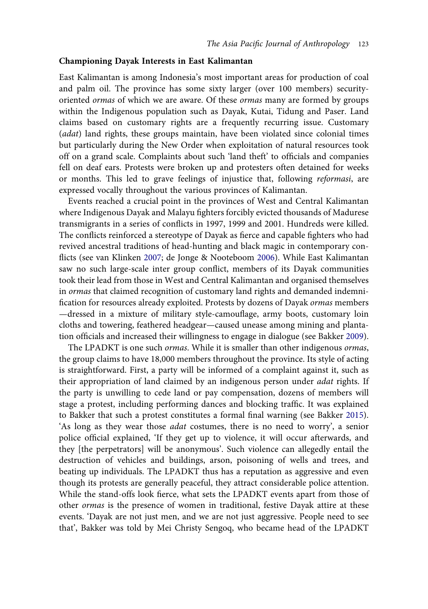#### Championing Dayak Interests in East Kalimantan

East Kalimantan is among Indonesia's most important areas for production of coal and palm oil. The province has some sixty larger (over 100 members) securityoriented ormas of which we are aware. Of these ormas many are formed by groups within the Indigenous population such as Dayak, Kutai, Tidung and Paser. Land claims based on customary rights are a frequently recurring issue. Customary (adat) land rights, these groups maintain, have been violated since colonial times but particularly during the New Order when exploitation of natural resources took off on a grand scale. Complaints about such 'land theft' to officials and companies fell on deaf ears. Protests were broken up and protesters often detained for weeks or months. This led to grave feelings of injustice that, following reformasi, are expressed vocally throughout the various provinces of Kalimantan.

<span id="page-7-1"></span>Events reached a crucial point in the provinces of West and Central Kalimantan where Indigenous Dayak and Malayu fighters forcibly evicted thousands of Madurese transmigrants in a series of conflicts in 1997, 1999 and 2001. Hundreds were killed. The conflicts reinforced a stereotype of Dayak as fierce and capable fighters who had revived ancestral traditions of head-hunting and black magic in contemporary conflicts (see van Klinken [2007](#page-18-4); de Jonge & Nooteboom [2006\)](#page-17-12). While East Kalimantan saw no such large-scale inter group conflict, members of its Dayak communities took their lead from those in West and Central Kalimantan and organised themselves in ormas that claimed recognition of customary land rights and demanded indemnification for resources already exploited. Protests by dozens of Dayak ormas members —dressed in a mixture of military style-camouflage, army boots, customary loin cloths and towering, feathered headgear—caused unease among mining and plantation officials and increased their willingness to engage in dialogue (see Bakker [2009](#page-16-9)).

<span id="page-7-0"></span>The LPADKT is one such ormas. While it is smaller than other indigenous ormas, the group claims to have 18,000 members throughout the province. Its style of acting is straightforward. First, a party will be informed of a complaint against it, such as their appropriation of land claimed by an indigenous person under *adat* rights. If the party is unwilling to cede land or pay compensation, dozens of members will stage a protest, including performing dances and blocking traffic. It was explained to Bakker that such a protest constitutes a formal final warning (see Bakker [2015](#page-16-1)). 'As long as they wear those adat costumes, there is no need to worry', a senior police official explained, 'If they get up to violence, it will occur afterwards, and they [the perpetrators] will be anonymous'. Such violence can allegedly entail the destruction of vehicles and buildings, arson, poisoning of wells and trees, and beating up individuals. The LPADKT thus has a reputation as aggressive and even though its protests are generally peaceful, they attract considerable police attention. While the stand-offs look fierce, what sets the LPADKT events apart from those of other ormas is the presence of women in traditional, festive Dayak attire at these events. 'Dayak are not just men, and we are not just aggressive. People need to see that', Bakker was told by Mei Christy Sengoq, who became head of the LPADKT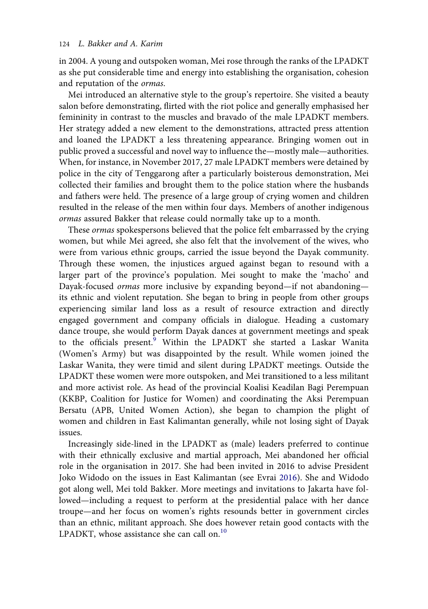#### 124 L. Bakker and A. Karim

in 2004. A young and outspoken woman, Mei rose through the ranks of the LPADKT as she put considerable time and energy into establishing the organisation, cohesion and reputation of the ormas.

Mei introduced an alternative style to the group's repertoire. She visited a beauty salon before demonstrating, flirted with the riot police and generally emphasised her femininity in contrast to the muscles and bravado of the male LPADKT members. Her strategy added a new element to the demonstrations, attracted press attention and loaned the LPADKT a less threatening appearance. Bringing women out in public proved a successful and novel way to influence the—mostly male—authorities. When, for instance, in November 2017, 27 male LPADKT members were detained by police in the city of Tenggarong after a particularly boisterous demonstration, Mei collected their families and brought them to the police station where the husbands and fathers were held. The presence of a large group of crying women and children resulted in the release of the men within four days. Members of another indigenous ormas assured Bakker that release could normally take up to a month.

These ormas spokespersons believed that the police felt embarrassed by the crying women, but while Mei agreed, she also felt that the involvement of the wives, who were from various ethnic groups, carried the issue beyond the Dayak community. Through these women, the injustices argued against began to resound with a larger part of the province's population. Mei sought to make the 'macho' and Dayak-focused ormas more inclusive by expanding beyond—if not abandoning its ethnic and violent reputation. She began to bring in people from other groups experiencing similar land loss as a result of resource extraction and directly engaged government and company officials in dialogue. Heading a customary dance troupe, she would perform Dayak dances at government meetings and speak to the officials present.[9](#page-15-8) Within the LPADKT she started a Laskar Wanita (Women's Army) but was disappointed by the result. While women joined the Laskar Wanita, they were timid and silent during LPADKT meetings. Outside the LPADKT these women were more outspoken, and Mei transitioned to a less militant and more activist role. As head of the provincial Koalisi Keadilan Bagi Perempuan (KKBP, Coalition for Justice for Women) and coordinating the Aksi Perempuan Bersatu (APB, United Women Action), she began to champion the plight of women and children in East Kalimantan generally, while not losing sight of Dayak issues.

<span id="page-8-0"></span>Increasingly side-lined in the LPADKT as (male) leaders preferred to continue with their ethnically exclusive and martial approach, Mei abandoned her official role in the organisation in 2017. She had been invited in 2016 to advise President Joko Widodo on the issues in East Kalimantan (see Evrai [2016](#page-17-13)). She and Widodo got along well, Mei told Bakker. More meetings and invitations to Jakarta have followed—including a request to perform at the presidential palace with her dance troupe—and her focus on women's rights resounds better in government circles than an ethnic, militant approach. She does however retain good contacts with the LPADKT, whose assistance she can call on.<sup>[10](#page-15-9)</sup>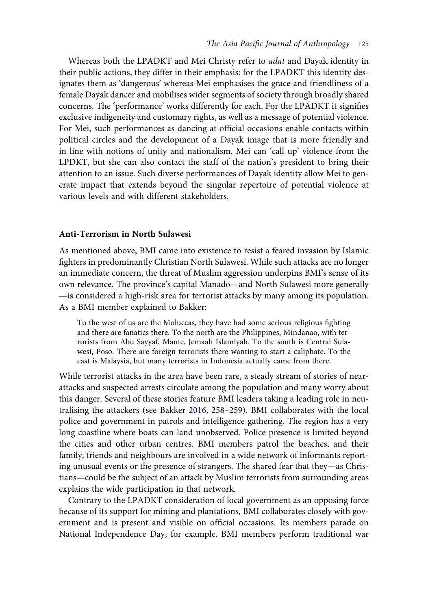Whereas both the LPADKT and Mei Christy refer to adat and Dayak identity in their public actions, they differ in their emphasis: for the LPADKT this identity designates them as 'dangerous' whereas Mei emphasises the grace and friendliness of a female Dayak dancer and mobilises wider segments of society through broadly shared concerns. The 'performance' works differently for each. For the LPADKT it signifies exclusive indigeneity and customary rights, as well as a message of potential violence. For Mei, such performances as dancing at official occasions enable contacts within political circles and the development of a Dayak image that is more friendly and in line with notions of unity and nationalism. Mei can 'call up' violence from the LPDKT, but she can also contact the staff of the nation's president to bring their attention to an issue. Such diverse performances of Dayak identity allow Mei to generate impact that extends beyond the singular repertoire of potential violence at various levels and with different stakeholders.

#### Anti-Terrorism in North Sulawesi

As mentioned above, BMI came into existence to resist a feared invasion by Islamic fighters in predominantly Christian North Sulawesi. While such attacks are no longer an immediate concern, the threat of Muslim aggression underpins BMI's sense of its own relevance. The province's capital Manado—and North Sulawesi more generally —is considered a high-risk area for terrorist attacks by many among its population. As a BMI member explained to Bakker:

To the west of us are the Moluccas, they have had some serious religious fighting and there are fanatics there. To the north are the Philippines, Mindanao, with terrorists from Abu Sayyaf, Maute, Jemaah Islamiyah. To the south is Central Sulawesi, Poso. There are foreign terrorists there wanting to start a caliphate. To the east is Malaysia, but many terrorists in Indonesia actually came from there.

While terrorist attacks in the area have been rare, a steady stream of stories of nearattacks and suspected arrests circulate among the population and many worry about this danger. Several of these stories feature BMI leaders taking a leading role in neutralising the attackers (see Bakker [2016,](#page-16-7) 258–259). BMI collaborates with the local police and government in patrols and intelligence gathering. The region has a very long coastline where boats can land unobserved. Police presence is limited beyond the cities and other urban centres. BMI members patrol the beaches, and their family, friends and neighbours are involved in a wide network of informants reporting unusual events or the presence of strangers. The shared fear that they—as Christians—could be the subject of an attack by Muslim terrorists from surrounding areas explains the wide participation in that network.

Contrary to the LPADKT consideration of local government as an opposing force because of its support for mining and plantations, BMI collaborates closely with government and is present and visible on official occasions. Its members parade on National Independence Day, for example. BMI members perform traditional war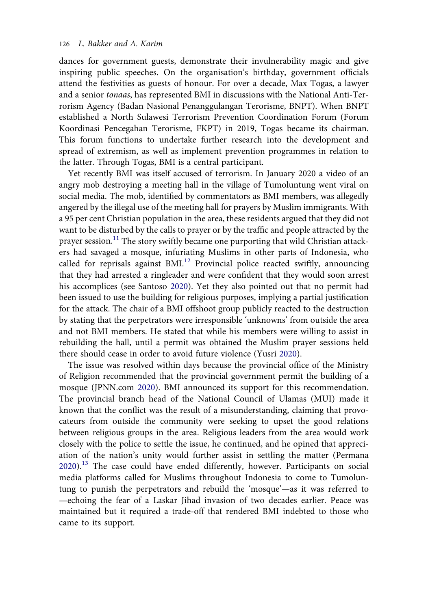dances for government guests, demonstrate their invulnerability magic and give inspiring public speeches. On the organisation's birthday, government officials attend the festivities as guests of honour. For over a decade, Max Togas, a lawyer and a senior tonaas, has represented BMI in discussions with the National Anti-Terrorism Agency (Badan Nasional Penanggulangan Terorisme, BNPT). When BNPT established a North Sulawesi Terrorism Prevention Coordination Forum (Forum Koordinasi Pencegahan Terorisme, FKPT) in 2019, Togas became its chairman. This forum functions to undertake further research into the development and spread of extremism, as well as implement prevention programmes in relation to the latter. Through Togas, BMI is a central participant.

Yet recently BMI was itself accused of terrorism. In January 2020 a video of an angry mob destroying a meeting hall in the village of Tumoluntung went viral on social media. The mob, identified by commentators as BMI members, was allegedly angered by the illegal use of the meeting hall for prayers by Muslim immigrants. With a 95 per cent Christian population in the area, these residents argued that they did not want to be disturbed by the calls to prayer or by the traffic and people attracted by the prayer session.<sup>[11](#page-15-10)</sup> The story swiftly became one purporting that wild Christian attackers had savaged a mosque, infuriating Muslims in other parts of Indonesia, who called for reprisals against BMI.<sup>[12](#page-15-11)</sup> Provincial police reacted swiftly, announcing that they had arrested a ringleader and were confident that they would soon arrest his accomplices (see Santoso [2020\)](#page-18-8). Yet they also pointed out that no permit had been issued to use the building for religious purposes, implying a partial justification for the attack. The chair of a BMI offshoot group publicly reacted to the destruction by stating that the perpetrators were irresponsible 'unknowns' from outside the area and not BMI members. He stated that while his members were willing to assist in rebuilding the hall, until a permit was obtained the Muslim prayer sessions held there should cease in order to avoid future violence (Yusri [2020](#page-18-9)).

<span id="page-10-3"></span><span id="page-10-2"></span><span id="page-10-1"></span><span id="page-10-0"></span>The issue was resolved within days because the provincial office of the Ministry of Religion recommended that the provincial government permit the building of a mosque (JPNN.com [2020\)](#page-17-14). BMI announced its support for this recommendation. The provincial branch head of the National Council of Ulamas (MUI) made it known that the conflict was the result of a misunderstanding, claiming that provocateurs from outside the community were seeking to upset the good relations between religious groups in the area. Religious leaders from the area would work closely with the police to settle the issue, he continued, and he opined that appreciation of the nation's unity would further assist in settling the matter (Permana [2020](#page-18-10)).<sup>[13](#page-15-12)</sup> The case could have ended differently, however. Participants on social media platforms called for Muslims throughout Indonesia to come to Tumoluntung to punish the perpetrators and rebuild the 'mosque'—as it was referred to —echoing the fear of a Laskar Jihad invasion of two decades earlier. Peace was maintained but it required a trade-off that rendered BMI indebted to those who came to its support.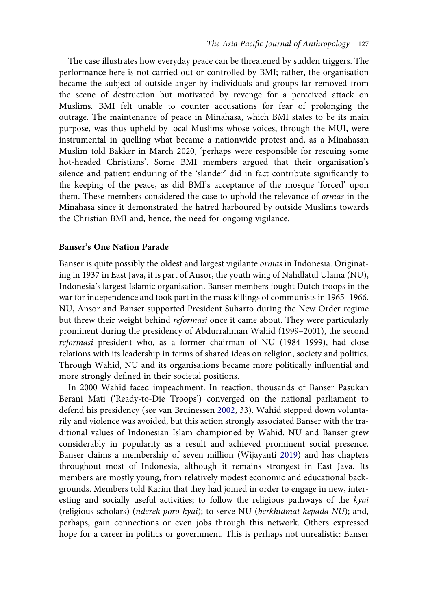The case illustrates how everyday peace can be threatened by sudden triggers. The performance here is not carried out or controlled by BMI; rather, the organisation became the subject of outside anger by individuals and groups far removed from the scene of destruction but motivated by revenge for a perceived attack on Muslims. BMI felt unable to counter accusations for fear of prolonging the outrage. The maintenance of peace in Minahasa, which BMI states to be its main purpose, was thus upheld by local Muslims whose voices, through the MUI, were instrumental in quelling what became a nationwide protest and, as a Minahasan Muslim told Bakker in March 2020, 'perhaps were responsible for rescuing some hot-headed Christians'. Some BMI members argued that their organisation's silence and patient enduring of the 'slander' did in fact contribute significantly to the keeping of the peace, as did BMI's acceptance of the mosque 'forced' upon them. These members considered the case to uphold the relevance of ormas in the Minahasa since it demonstrated the hatred harboured by outside Muslims towards the Christian BMI and, hence, the need for ongoing vigilance.

#### Banser's One Nation Parade

Banser is quite possibly the oldest and largest vigilante ormas in Indonesia. Originating in 1937 in East Java, it is part of Ansor, the youth wing of Nahdlatul Ulama (NU), Indonesia's largest Islamic organisation. Banser members fought Dutch troops in the war for independence and took part in the mass killings of communists in 1965–1966. NU, Ansor and Banser supported President Suharto during the New Order regime but threw their weight behind reformasi once it came about. They were particularly prominent during the presidency of Abdurrahman Wahid (1999–2001), the second reformasi president who, as a former chairman of NU (1984–1999), had close relations with its leadership in terms of shared ideas on religion, society and politics. Through Wahid, NU and its organisations became more politically influential and more strongly defined in their societal positions.

<span id="page-11-1"></span><span id="page-11-0"></span>In 2000 Wahid faced impeachment. In reaction, thousands of Banser Pasukan Berani Mati ('Ready-to-Die Troops') converged on the national parliament to defend his presidency (see van Bruinessen [2002,](#page-18-11) 33). Wahid stepped down voluntarily and violence was avoided, but this action strongly associated Banser with the traditional values of Indonesian Islam championed by Wahid. NU and Banser grew considerably in popularity as a result and achieved prominent social presence. Banser claims a membership of seven million (Wijayanti [2019](#page-18-12)) and has chapters throughout most of Indonesia, although it remains strongest in East Java. Its members are mostly young, from relatively modest economic and educational backgrounds. Members told Karim that they had joined in order to engage in new, interesting and socially useful activities; to follow the religious pathways of the kyai (religious scholars) (nderek poro kyai); to serve NU (berkhidmat kepada NU); and, perhaps, gain connections or even jobs through this network. Others expressed hope for a career in politics or government. This is perhaps not unrealistic: Banser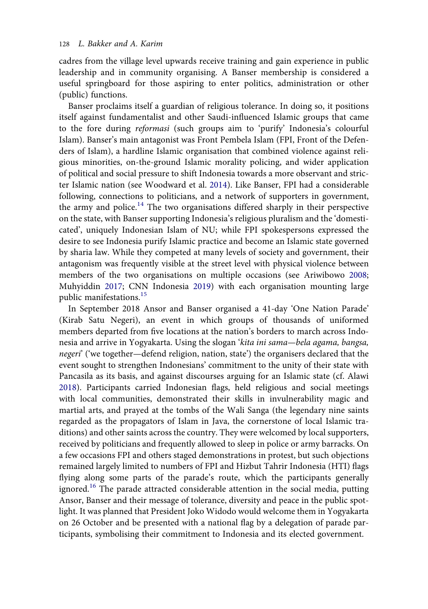cadres from the village level upwards receive training and gain experience in public leadership and in community organising. A Banser membership is considered a useful springboard for those aspiring to enter politics, administration or other (public) functions.

<span id="page-12-3"></span>Banser proclaims itself a guardian of religious tolerance. In doing so, it positions itself against fundamentalist and other Saudi-influenced Islamic groups that came to the fore during reformasi (such groups aim to 'purify' Indonesia's colourful Islam). Banser's main antagonist was Front Pembela Islam (FPI, Front of the Defenders of Islam), a hardline Islamic organisation that combined violence against religious minorities, on-the-ground Islamic morality policing, and wider application of political and social pressure to shift Indonesia towards a more observant and stricter Islamic nation (see Woodward et al. [2014\)](#page-18-13). Like Banser, FPI had a considerable following, connections to politicians, and a network of supporters in government, the army and police.<sup>14</sup> The two organisations differed sharply in their perspective on the state, with Banser supporting Indonesia's religious pluralism and the 'domesticated', uniquely Indonesian Islam of NU; while FPI spokespersons expressed the desire to see Indonesia purify Islamic practice and become an Islamic state governed by sharia law. While they competed at many levels of society and government, their antagonism was frequently visible at the street level with physical violence between members of the two organisations on multiple occasions (see Ariwibowo [2008;](#page-16-11) Muhyiddin [2017](#page-17-15); CNN Indonesia [2019](#page-17-16)) with each organisation mounting large public manifestations.[15](#page-16-12)

<span id="page-12-2"></span><span id="page-12-1"></span><span id="page-12-0"></span>In September 2018 Ansor and Banser organised a 41-day 'One Nation Parade' (Kirab Satu Negeri), an event in which groups of thousands of uniformed members departed from five locations at the nation's borders to march across Indonesia and arrive in Yogyakarta. Using the slogan 'kita ini sama—bela agama, bangsa, negeri' ('we together—defend religion, nation, state') the organisers declared that the event sought to strengthen Indonesians' commitment to the unity of their state with Pancasila as its basis, and against discourses arguing for an Islamic state (cf. Alawi [2018](#page-16-13)). Participants carried Indonesian flags, held religious and social meetings with local communities, demonstrated their skills in invulnerability magic and martial arts, and prayed at the tombs of the Wali Sanga (the legendary nine saints regarded as the propagators of Islam in Java, the cornerstone of local Islamic traditions) and other saints across the country. They were welcomed by local supporters, received by politicians and frequently allowed to sleep in police or army barracks. On a few occasions FPI and others staged demonstrations in protest, but such objections remained largely limited to numbers of FPI and Hizbut Tahrir Indonesia (HTI) flags flying along some parts of the parade's route, which the participants generally ignored.<sup>[16](#page-16-14)</sup> The parade attracted considerable attention in the social media, putting Ansor, Banser and their message of tolerance, diversity and peace in the public spotlight. It was planned that President Joko Widodo would welcome them in Yogyakarta on 26 October and be presented with a national flag by a delegation of parade participants, symbolising their commitment to Indonesia and its elected government.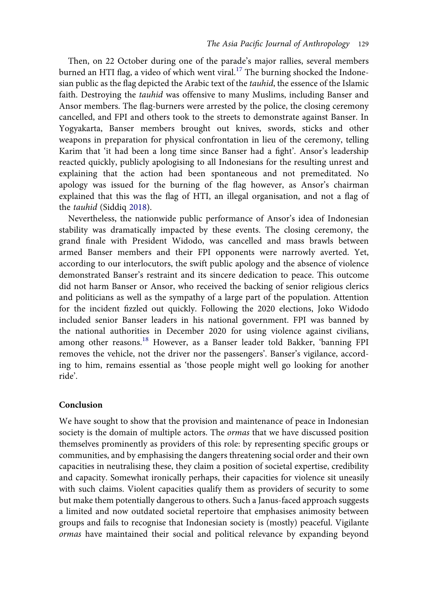Then, on 22 October during one of the parade's major rallies, several members burned an HTI flag, a video of which went viral.<sup>[17](#page-16-15)</sup> The burning shocked the Indonesian public as the flag depicted the Arabic text of the tauhid, the essence of the Islamic faith. Destroying the tauhid was offensive to many Muslims, including Banser and Ansor members. The flag-burners were arrested by the police, the closing ceremony cancelled, and FPI and others took to the streets to demonstrate against Banser. In Yogyakarta, Banser members brought out knives, swords, sticks and other weapons in preparation for physical confrontation in lieu of the ceremony, telling Karim that 'it had been a long time since Banser had a fight'. Ansor's leadership reacted quickly, publicly apologising to all Indonesians for the resulting unrest and explaining that the action had been spontaneous and not premeditated. No apology was issued for the burning of the flag however, as Ansor's chairman explained that this was the flag of HTI, an illegal organisation, and not a flag of the tauhid (Siddiq [2018](#page-18-14)).

<span id="page-13-0"></span>Nevertheless, the nationwide public performance of Ansor's idea of Indonesian stability was dramatically impacted by these events. The closing ceremony, the grand finale with President Widodo, was cancelled and mass brawls between armed Banser members and their FPI opponents were narrowly averted. Yet, according to our interlocutors, the swift public apology and the absence of violence demonstrated Banser's restraint and its sincere dedication to peace. This outcome did not harm Banser or Ansor, who received the backing of senior religious clerics and politicians as well as the sympathy of a large part of the population. Attention for the incident fizzled out quickly. Following the 2020 elections, Joko Widodo included senior Banser leaders in his national government. FPI was banned by the national authorities in December 2020 for using violence against civilians, among other reasons.<sup>[18](#page-16-16)</sup> However, as a Banser leader told Bakker, 'banning FPI removes the vehicle, not the driver nor the passengers'. Banser's vigilance, according to him, remains essential as 'those people might well go looking for another ride'.

#### Conclusion

We have sought to show that the provision and maintenance of peace in Indonesian society is the domain of multiple actors. The *ormas* that we have discussed position themselves prominently as providers of this role: by representing specific groups or communities, and by emphasising the dangers threatening social order and their own capacities in neutralising these, they claim a position of societal expertise, credibility and capacity. Somewhat ironically perhaps, their capacities for violence sit uneasily with such claims. Violent capacities qualify them as providers of security to some but make them potentially dangerous to others. Such a Janus-faced approach suggests a limited and now outdated societal repertoire that emphasises animosity between groups and fails to recognise that Indonesian society is (mostly) peaceful. Vigilante ormas have maintained their social and political relevance by expanding beyond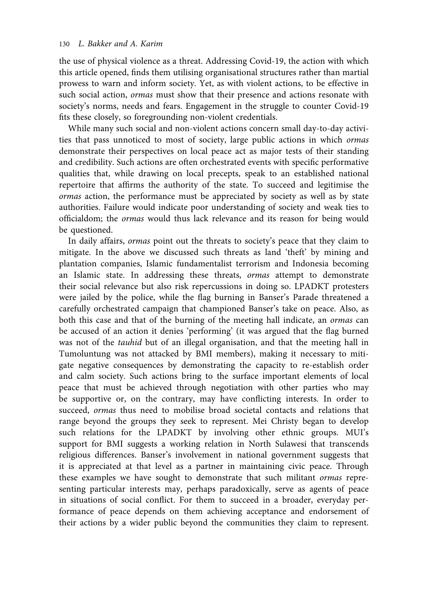the use of physical violence as a threat. Addressing Covid-19, the action with which this article opened, finds them utilising organisational structures rather than martial prowess to warn and inform society. Yet, as with violent actions, to be effective in such social action, *ormas* must show that their presence and actions resonate with society's norms, needs and fears. Engagement in the struggle to counter Covid-19 fits these closely, so foregrounding non-violent credentials.

While many such social and non-violent actions concern small day-to-day activities that pass unnoticed to most of society, large public actions in which ormas demonstrate their perspectives on local peace act as major tests of their standing and credibility. Such actions are often orchestrated events with specific performative qualities that, while drawing on local precepts, speak to an established national repertoire that affirms the authority of the state. To succeed and legitimise the ormas action, the performance must be appreciated by society as well as by state authorities. Failure would indicate poor understanding of society and weak ties to officialdom; the ormas would thus lack relevance and its reason for being would be questioned.

In daily affairs, ormas point out the threats to society's peace that they claim to mitigate. In the above we discussed such threats as land 'theft' by mining and plantation companies, Islamic fundamentalist terrorism and Indonesia becoming an Islamic state. In addressing these threats, ormas attempt to demonstrate their social relevance but also risk repercussions in doing so. LPADKT protesters were jailed by the police, while the flag burning in Banser's Parade threatened a carefully orchestrated campaign that championed Banser's take on peace. Also, as both this case and that of the burning of the meeting hall indicate, an ormas can be accused of an action it denies 'performing' (it was argued that the flag burned was not of the tauhid but of an illegal organisation, and that the meeting hall in Tumoluntung was not attacked by BMI members), making it necessary to mitigate negative consequences by demonstrating the capacity to re-establish order and calm society. Such actions bring to the surface important elements of local peace that must be achieved through negotiation with other parties who may be supportive or, on the contrary, may have conflicting interests. In order to succeed, ormas thus need to mobilise broad societal contacts and relations that range beyond the groups they seek to represent. Mei Christy began to develop such relations for the LPADKT by involving other ethnic groups. MUI's support for BMI suggests a working relation in North Sulawesi that transcends religious differences. Banser's involvement in national government suggests that it is appreciated at that level as a partner in maintaining civic peace. Through these examples we have sought to demonstrate that such militant ormas representing particular interests may, perhaps paradoxically, serve as agents of peace in situations of social conflict. For them to succeed in a broader, everyday performance of peace depends on them achieving acceptance and endorsement of their actions by a wider public beyond the communities they claim to represent.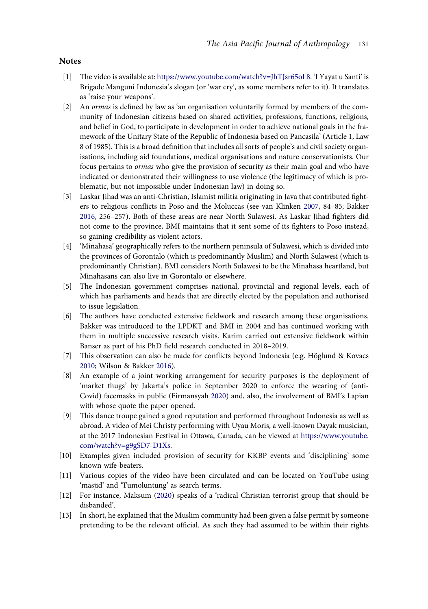#### **Notes**

- <span id="page-15-0"></span>[1] The video is available at: [https://www.youtube.com/watch?v=JhTJsr65oL8.](https://www.youtube.com/watch?v=JhTJsr65oL8) 'I Yayat u Santi' is Brigade Manguni Indonesia's slogan (or 'war cry', as some members refer to it). It translates as 'raise your weapons'.
- <span id="page-15-1"></span>[2] An ormas is defined by law as 'an organisation voluntarily formed by members of the community of Indonesian citizens based on shared activities, professions, functions, religions, and belief in God, to participate in development in order to achieve national goals in the framework of the Unitary State of the Republic of Indonesia based on Pancasila' (Article 1, Law 8 of 1985). This is a broad definition that includes all sorts of people's and civil society organisations, including aid foundations, medical organisations and nature conservationists. Our focus pertains to *ormas* who give the provision of security as their main goal and who have indicated or demonstrated their willingness to use violence (the legitimacy of which is problematic, but not impossible under Indonesian law) in doing so.
- <span id="page-15-2"></span>[3] Laskar Jihad was an anti-Christian, Islamist militia originating in Java that contributed fighters to religious conflicts in Poso and the Moluccas (see van Klinken [2007](#page-18-4), 84–85; Bakker [2016](#page-16-7), 256–257). Both of these areas are near North Sulawesi. As Laskar Jihad fighters did not come to the province, BMI maintains that it sent some of its fighters to Poso instead, so gaining credibility as violent actors.
- <span id="page-15-3"></span>[4] 'Minahasa' geographically refers to the northern peninsula of Sulawesi, which is divided into the provinces of Gorontalo (which is predominantly Muslim) and North Sulawesi (which is predominantly Christian). BMI considers North Sulawesi to be the Minahasa heartland, but Minahasans can also live in Gorontalo or elsewhere.
- <span id="page-15-4"></span>[5] The Indonesian government comprises national, provincial and regional levels, each of which has parliaments and heads that are directly elected by the population and authorised to issue legislation.
- <span id="page-15-5"></span>[6] The authors have conducted extensive fieldwork and research among these organisations. Bakker was introduced to the LPDKT and BMI in 2004 and has continued working with them in multiple successive research visits. Karim carried out extensive fieldwork within Banser as part of his PhD field research conducted in 2018–2019.
- <span id="page-15-14"></span><span id="page-15-6"></span>[7] This observation can also be made for conflicts beyond Indonesia (e.g. Höglund & Kovacs [2010](#page-17-17); Wilson & Bakker [2016](#page-18-15)).
- <span id="page-15-13"></span><span id="page-15-7"></span>[8] An example of a joint working arrangement for security purposes is the deployment of 'market thugs' by Jakarta's police in September 2020 to enforce the wearing of (anti-Covid) facemasks in public (Firmansyah [2020\)](#page-17-18) and, also, the involvement of BMI's Lapian with whose quote the paper opened.
- <span id="page-15-8"></span>[9] This dance troupe gained a good reputation and performed throughout Indonesia as well as abroad. A video of Mei Christy performing with Uyau Moris, a well-known Dayak musician, at the 2017 Indonesian Festival in Ottawa, Canada, can be viewed at [https://www.youtube.](https://www.youtube.com/watch?v=g9gSD7-D1Xs) [com/watch?v=g9gSD7-D1Xs](https://www.youtube.com/watch?v=g9gSD7-D1Xs).
- <span id="page-15-9"></span>[10] Examples given included provision of security for KKBP events and 'disciplining' some known wife-beaters.
- <span id="page-15-10"></span>[11] Various copies of the video have been circulated and can be located on YouTube using 'masjid' and 'Tumoluntung' as search terms.
- <span id="page-15-11"></span>[12] For instance, Maksum ([2020\)](#page-17-19) speaks of a 'radical Christian terrorist group that should be disbanded'.
- <span id="page-15-12"></span>[13] In short, he explained that the Muslim community had been given a false permit by someone pretending to be the relevant official. As such they had assumed to be within their rights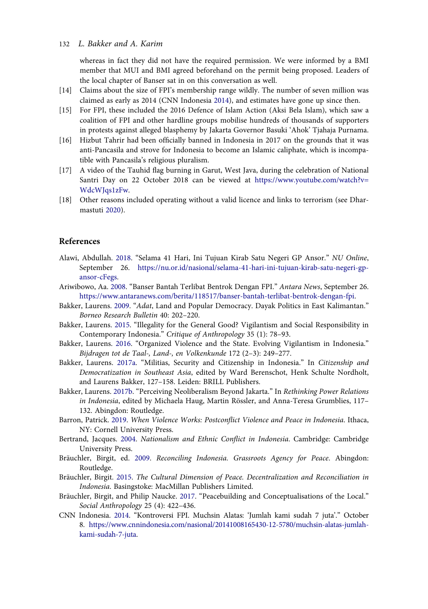#### 132 L. Bakker and A. Karim

whereas in fact they did not have the required permission. We were informed by a BMI member that MUI and BMI agreed beforehand on the permit being proposed. Leaders of the local chapter of Banser sat in on this conversation as well.

- <span id="page-16-18"></span><span id="page-16-10"></span>[14] Claims about the size of FPI's membership range wildly. The number of seven million was claimed as early as 2014 (CNN Indonesia [2014\)](#page-16-17), and estimates have gone up since then.
- <span id="page-16-12"></span>[15] For FPI, these included the 2016 Defence of Islam Action (Aksi Bela Islam), which saw a coalition of FPI and other hardline groups mobilise hundreds of thousands of supporters in protests against alleged blasphemy by Jakarta Governor Basuki 'Ahok' Tjahaja Purnama.
- <span id="page-16-14"></span>[16] Hizbut Tahrir had been officially banned in Indonesia in 2017 on the grounds that it was anti-Pancasila and strove for Indonesia to become an Islamic caliphate, which is incompatible with Pancasila's religious pluralism.
- <span id="page-16-15"></span>[17] A video of the Tauhid flag burning in Garut, West Java, during the celebration of National Santri Day on 22 October 2018 can be viewed at [https://www.youtube.com/watch?v=](https://www.youtube.com/watch?v=WdcWJqs1zFw) [WdcWJqs1zFw.](https://www.youtube.com/watch?v=WdcWJqs1zFw)
- <span id="page-16-19"></span><span id="page-16-16"></span>[18] Other reasons included operating without a valid licence and links to terrorism (see Dharmastuti [2020](#page-17-20)).

#### References

- <span id="page-16-13"></span>Alawi, Abdullah. [2018.](#page-12-0) "Selama 41 Hari, Ini Tujuan Kirab Satu Negeri GP Ansor." NU Online, September 26. [https://nu.or.id/nasional/selama-41-hari-ini-tujuan-kirab-satu-negeri-gp](https://nu.or.id/nasional/selama-41-hari-ini-tujuan-kirab-satu-negeri-gp-ansor-cFegs)[ansor-cFegs.](https://nu.or.id/nasional/selama-41-hari-ini-tujuan-kirab-satu-negeri-gp-ansor-cFegs)
- <span id="page-16-11"></span>Ariwibowo, Aa. [2008.](#page-12-1) "Banser Bantah Terlibat Bentrok Dengan FPI." Antara News, September 26. [https://www.antaranews.com/berita/118517/banser-bantah-terlibat-bentrok-dengan-fpi.](https://www.antaranews.com/berita/118517/banser-bantah-terlibat-bentrok-dengan-fpi)
- <span id="page-16-9"></span>Bakker, Laurens. [2009.](#page-7-0) "Adat, Land and Popular Democracy. Dayak Politics in East Kalimantan." Borneo Research Bulletin 40: 202–220.
- <span id="page-16-1"></span>Bakker, Laurens. [2015](#page-3-0). "Illegality for the General Good? Vigilantism and Social Responsibility in Contemporary Indonesia." Critique of Anthropology 35 (1): 78–93.
- <span id="page-16-7"></span>Bakker, Laurens. [2016.](#page-5-0) "Organized Violence and the State. Evolving Vigilantism in Indonesia." Bijdragen tot de Taal-, Land-, en Volkenkunde 172 (2–3): 249–277.
- <span id="page-16-0"></span>Bakker, Laurens. [2017a](#page-3-1). "Militias, Security and Citizenship in Indonesia." In Citizenship and Democratization in Southeast Asia, edited by Ward Berenschot, Henk Schulte Nordholt, and Laurens Bakker, 127–158. Leiden: BRILL Publishers.
- <span id="page-16-8"></span>Bakker, Laurens. [2017b.](#page-5-1) "Perceiving Neoliberalism Beyond Jakarta." In Rethinking Power Relations in Indonesia, edited by Michaela Haug, Martin Rössler, and Anna-Teresa Grumblies, 117– 132. Abingdon: Routledge.
- <span id="page-16-6"></span>Barron, Patrick. [2019.](#page-5-2) When Violence Works: Postconflict Violence and Peace in Indonesia. Ithaca, NY: Cornell University Press.
- <span id="page-16-4"></span>Bertrand, Jacques. [2004](#page-5-2). Nationalism and Ethnic Conflict in Indonesia. Cambridge: Cambridge University Press.
- <span id="page-16-5"></span>Bräuchler, Birgit, ed. [2009.](#page-5-2) Reconciling Indonesia. Grassroots Agency for Peace. Abingdon: Routledge.
- <span id="page-16-2"></span>Bräuchler, Birgit. [2015.](#page-3-2) The Cultural Dimension of Peace. Decentralization and Reconciliation in Indonesia. Basingstoke: MacMillan Publishers Limited.
- <span id="page-16-3"></span>Bräuchler, Birgit, and Philip Naucke. [2017.](#page-5-3) "Peacebuilding and Conceptualisations of the Local." Social Anthropology 25 (4): 422–436.
- <span id="page-16-17"></span>CNN Indonesia. [2014](#page-16-18). "Kontroversi FPI. Muchsin Alatas: 'Jumlah kami sudah 7 juta'." October 8. [https://www.cnnindonesia.com/nasional/20141008165430-12-5780/muchsin-alatas-jumlah](https://www.cnnindonesia.com/nasional/20141008165430-12-5780/muchsin-alatas-jumlah-kami-sudah-7-juta)[kami-sudah-7-juta](https://www.cnnindonesia.com/nasional/20141008165430-12-5780/muchsin-alatas-jumlah-kami-sudah-7-juta).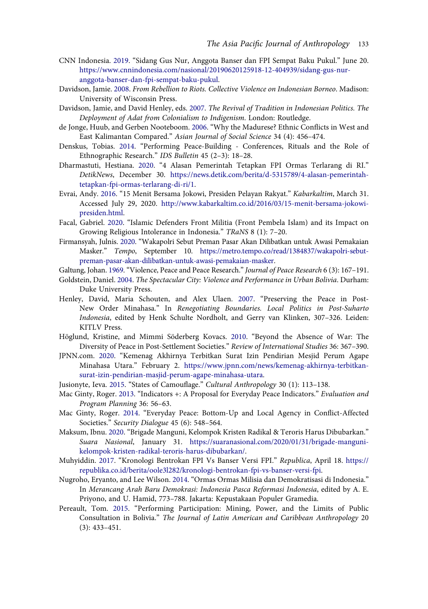- <span id="page-17-16"></span>CNN Indonesia. [2019](#page-12-2). "Sidang Gus Nur, Anggota Banser dan FPI Sempat Baku Pukul." June 20. [https://www.cnnindonesia.com/nasional/20190620125918-12-404939/sidang-gus-nur](https://www.cnnindonesia.com/nasional/20190620125918-12-404939/sidang-gus-nur-anggota-banser-dan-fpi-sempat-baku-pukul)[anggota-banser-dan-fpi-sempat-baku-pukul](https://www.cnnindonesia.com/nasional/20190620125918-12-404939/sidang-gus-nur-anggota-banser-dan-fpi-sempat-baku-pukul).
- <span id="page-17-5"></span>Davidson, Jamie. [2008.](#page-5-2) From Rebellion to Riots. Collective Violence on Indonesian Borneo. Madison: University of Wisconsin Press.
- <span id="page-17-7"></span>Davidson, Jamie, and David Henley, eds. [2007.](#page-5-4) The Revival of Tradition in Indonesian Politics. The Deployment of Adat from Colonialism to Indigenism. London: Routledge.
- <span id="page-17-12"></span>de Jonge, Huub, and Gerben Nooteboom. [2006](#page-7-1). "Why the Madurese? Ethnic Conflicts in West and East Kalimantan Compared." Asian Journal of Social Science 34 (4): 456–474.
- <span id="page-17-9"></span>Denskus, Tobias. [2014.](#page-6-0) "Performing Peace-Building - Conferences, Rituals and the Role of Ethnographic Research." IDS Bulletin 45 (2–3): 18–28.
- <span id="page-17-20"></span>Dharmastuti, Hestiana. [2020.](#page-16-19) "4 Alasan Pemerintah Tetapkan FPI Ormas Terlarang di RI." DetikNews, December 30. [https://news.detik.com/berita/d-5315789/4-alasan-pemerintah](https://news.detik.com/berita/d-5315789/4-alasan-pemerintah-tetapkan-fpi-ormas-terlarang-di-ri/1)[tetapkan-fpi-ormas-terlarang-di-ri/1.](https://news.detik.com/berita/d-5315789/4-alasan-pemerintah-tetapkan-fpi-ormas-terlarang-di-ri/1)
- <span id="page-17-13"></span>Evrai, Andy. [2016](#page-8-0). "15 Menit Bersama Jokowi, Presiden Pelayan Rakyat." Kabarkaltim, March 31. Accessed July 29, 2020. [http://www.kabarkaltim.co.id/2016/03/15-menit-bersama-jokowi](http://www.kabarkaltim.co.id/2016/03/15-menit-bersama-jokowi-presiden.html)[presiden.html.](http://www.kabarkaltim.co.id/2016/03/15-menit-bersama-jokowi-presiden.html)
- <span id="page-17-1"></span>Facal, Gabriel. [2020](#page-3-0). "Islamic Defenders Front Militia (Front Pembela Islam) and its Impact on Growing Religious Intolerance in Indonesia." TRaNS 8 (1): 7–20.
- <span id="page-17-18"></span>Firmansyah, Julnis. [2020.](#page-15-13) "Wakapolri Sebut Preman Pasar Akan Dilibatkan untuk Awasi Pemakaian Masker." Tempo, September 10. [https://metro.tempo.co/read/1384837/wakapolri-sebut](https://metro.tempo.co/read/1384837/wakapolri-sebut-preman-pasar-akan-dilibatkan-untuk-awasi-pemakaian-masker)[preman-pasar-akan-dilibatkan-untuk-awasi-pemakaian-masker.](https://metro.tempo.co/read/1384837/wakapolri-sebut-preman-pasar-akan-dilibatkan-untuk-awasi-pemakaian-masker)

<span id="page-17-10"></span><span id="page-17-2"></span>Galtung, Johan. [1969](#page-4-0)."Violence, Peace and Peace Research." Journal of Peace Research 6 (3): 167–191.

- Goldstein, Daniel. [2004.](#page-6-1) The Spectacular City: Violence and Performance in Urban Bolivia. Durham: Duke University Press.
- <span id="page-17-0"></span>Henley, David, Maria Schouten, and Alex Ulaen. [2007.](#page-3-1) "Preserving the Peace in Post-New Order Minahasa." In Renegotiating Boundaries. Local Politics in Post-Suharto Indonesia, edited by Henk Schulte Nordholt, and Gerry van Klinken, 307–326. Leiden: KITLV Press.
- <span id="page-17-17"></span>Höglund, Kristine, and Mimmi Söderberg Kovacs. [2010.](#page-15-6) "Beyond the Absence of War: The Diversity of Peace in Post-Settlement Societies." Review of International Studies 36: 367–390.
- <span id="page-17-14"></span>JPNN.com. [2020](#page-10-0). "Kemenag Akhirnya Terbitkan Surat Izin Pendirian Mesjid Perum Agape Minahasa Utara." February 2. [https://www.jpnn.com/news/kemenag-akhirnya-terbitkan](https://www.jpnn.com/news/kemenag-akhirnya-terbitkan-surat-izin-pendirian-masjid-perum-agape-minahasa-utara)[surat-izin-pendirian-masjid-perum-agape-minahasa-utara](https://www.jpnn.com/news/kemenag-akhirnya-terbitkan-surat-izin-pendirian-masjid-perum-agape-minahasa-utara).
- <span id="page-17-11"></span><span id="page-17-3"></span>Jusionyte, Ieva. [2015](#page-6-2). "States of Camouflage." Cultural Anthropology 30 (1): 113–138.
- Mac Ginty, Roger. [2013](#page-4-1). "Indicators +: A Proposal for Everyday Peace Indicators." Evaluation and Program Planning 36: 56–63.
- <span id="page-17-4"></span>Mac Ginty, Roger. [2014](#page-4-2). "Everyday Peace: Bottom-Up and Local Agency in Conflict-Affected Societies." Security Dialogue 45 (6): 548–564.
- <span id="page-17-19"></span>Maksum, Ibnu. [2020.](#page-15-11) "Brigade Manguni, Kelompok Kristen Radikal & Teroris Harus Dibubarkan." Suara Nasional, January 31. [https://suaranasional.com/2020/01/31/brigade-manguni](https://suaranasional.com/2020/01/31/brigade-manguni-kelompok-kristen-radikal-teroris-harus-dibubarkan/)[kelompok-kristen-radikal-teroris-harus-dibubarkan/](https://suaranasional.com/2020/01/31/brigade-manguni-kelompok-kristen-radikal-teroris-harus-dibubarkan/).
- <span id="page-17-15"></span>Muhyiddin. [2017.](#page-12-2) "Kronologi Bentrokan FPI Vs Banser Versi FPI." Republica, April 18. [https://](https://republika.co.id/berita/oole3l282/kronologi-bentrokan-fpi-vs-banser-versi-fpi) [republika.co.id/berita/oole3l282/kronologi-bentrokan-fpi-vs-banser-versi-fpi](https://republika.co.id/berita/oole3l282/kronologi-bentrokan-fpi-vs-banser-versi-fpi).
- <span id="page-17-6"></span>Nugroho, Eryanto, and Lee Wilson. [2014](#page-5-0). "Ormas Ormas Milisia dan Demokratisasi di Indonesia." In Merancang Arah Baru Demokrasi: Indonesia Pasca Reformasi Indonesia, edited by A. E. Priyono, and U. Hamid, 773–788. Jakarta: Kepustakaan Populer Gramedia.
- <span id="page-17-8"></span>Pereault, Tom. [2015.](#page-6-3) "Performing Participation: Mining, Power, and the Limits of Public Consultation in Bolivia." The Journal of Latin American and Caribbean Anthropology 20 (3): 433–451.